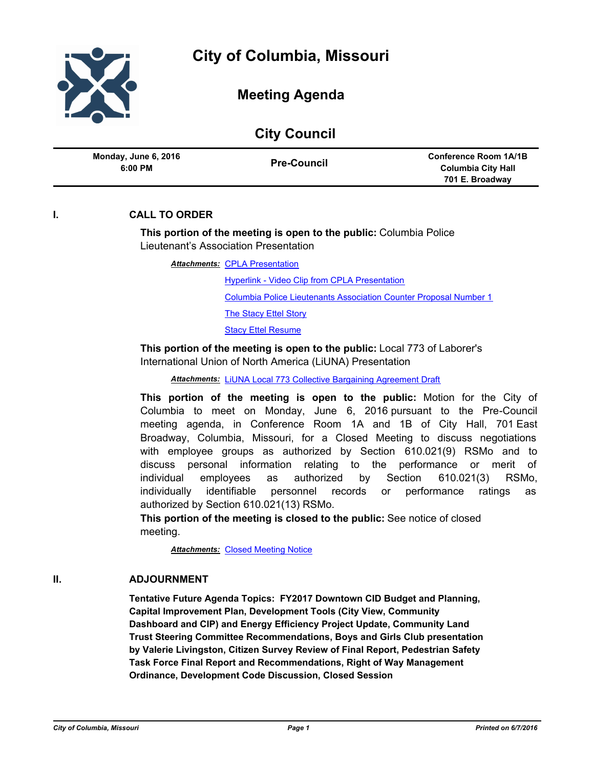| <b>City Council</b>             |                    |                                                                              |
|---------------------------------|--------------------|------------------------------------------------------------------------------|
| Monday, June 6, 2016<br>6:00 PM | <b>Pre-Council</b> | <b>Conference Room 1A/1B</b><br><b>Columbia City Hall</b><br>701 E. Broadway |

## **I. CALL TO ORDER**

## **This portion of the meeting is open to the public:** Columbia Police Lieutenant's Association Presentation

**Attachments: [CPLA Presentation](http://gocolumbiamo.legistar.com/gateway.aspx?M=F&ID=66a26f0c-e21c-40dd-9779-c703aae6879b.pdf)** 

[Hyperlink - Video Clip from CPLA Presentation](https://www.youtube.com/watch?v=aHzQjiU6jlQ)

[Columbia Police Lieutenants Association Counter Proposal Number 1](http://gocolumbiamo.legistar.com/gateway.aspx?M=F&ID=e4d7ade4-d518-4545-95af-6fabbb619a9f.pdf)

**[The Stacy Ettel Story](http://gocolumbiamo.legistar.com/gateway.aspx?M=F&ID=34c69b1e-9132-4820-a786-743ce24d3455.pdf)** 

[Stacy Ettel Resume](http://gocolumbiamo.legistar.com/gateway.aspx?M=F&ID=d40aeddf-55db-42ca-bce2-5810eae3791c.pdf)

**This portion of the meeting is open to the public:** Local 773 of Laborer's International Union of North America (LiUNA) Presentation

*Attachments:* [LiUNA Local 773 Collective Bargaining Agreement Draft](http://gocolumbiamo.legistar.com/gateway.aspx?M=F&ID=b32ae7ba-086f-48cb-bb6c-64254454c172.pdf)

**This portion of the meeting is open to the public:** Motion for the City of Columbia to meet on Monday, June 6, 2016 pursuant to the Pre-Council meeting agenda, in Conference Room 1A and 1B of City Hall, 701 East Broadway, Columbia, Missouri, for a Closed Meeting to discuss negotiations with employee groups as authorized by Section 610.021(9) RSMo and to discuss personal information relating to the performance or merit of individual employees as authorized by Section 610.021(3) RSMo, individually identifiable personnel records or performance ratings as authorized by Section 610.021(13) RSMo.

**This portion of the meeting is closed to the public:** See notice of closed meeting.

**Attachments: [Closed Meeting Notice](http://gocolumbiamo.legistar.com/gateway.aspx?M=F&ID=f7b90edb-ebf1-4df4-a051-9e11cd765c80.pdf)** 

## **II. ADJOURNMENT**

**Tentative Future Agenda Topics: FY2017 Downtown CID Budget and Planning, Capital Improvement Plan, Development Tools (City View, Community Dashboard and CIP) and Energy Efficiency Project Update, Community Land Trust Steering Committee Recommendations, Boys and Girls Club presentation by Valerie Livingston, Citizen Survey Review of Final Report, Pedestrian Safety Task Force Final Report and Recommendations, Right of Way Management Ordinance, Development Code Discussion, Closed Session**